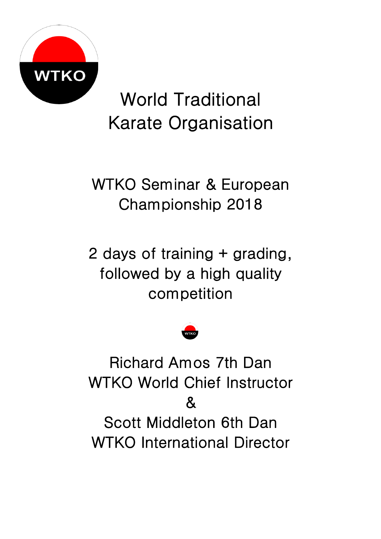

World Traditional Karate Organisation

WTKO Seminar & European Championship 2018

2 days of training + grading, followed by a high quality competition



Richard Amos 7th Dan WTKO World Chief Instructor  $\mathcal{R}_{\mathbf{I}}$ Scott Middleton 6th Dan WTKO International Director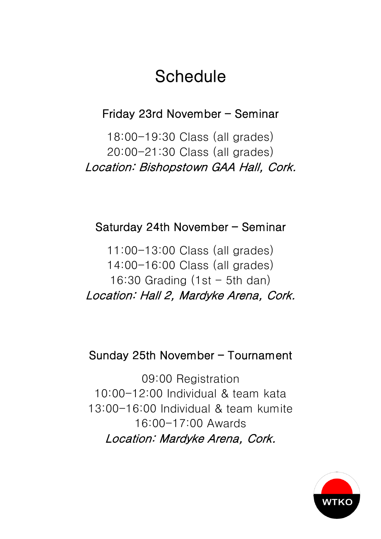## **Schedule**

Friday 23rd November – Seminar

18:00-19:30 Class (all grades) 20:00-21:30 Class (all grades) Location: Bishopstown GAA Hall, Cork.

### Saturday 24th November – Seminar

11:00-13:00 Class (all grades) 14:00-16:00 Class (all grades) 16:30 Grading  $(1st - 5th$  dan) Location: Hall 2, Mardyke Arena, Cork.

### Sunday 25th November – Tournament

09:00 Registration 10:00-12:00 Individual & team kata 13:00-16:00 Individual & team kumite 16:00-17:00 Awards Location: Mardyke Arena, Cork.

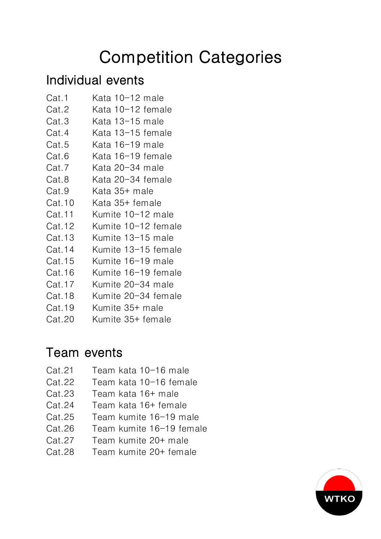# Competition Categories

## Individual events

- Cat.1 Kata 10-12 male
- Cat.2 Kata 10-12 female
- Cat.3 Kata 13-15 male
- Cat.4 Kata 13-15 female
- Cat.5 Kata 16-19 male
- Cat.6 Kata 16-19 female
- Cat.7 Kata 20-34 male
- Cat.8 Kata 20-34 female
- Cat.9 Kata 35+ male
- Cat.10 Kata 35+ female
- Cat.11 Kumite 10-12 male
- Cat.12 Kumite 10-12 female
- Cat.13 Kumite 13-15 male
- Cat.14 Kumite 13-15 female
- Cat.15 Kumite 16-19 male
- Cat.16 Kumite 16-19 female
- Cat.17 Kumite 20-34 male
- Cat.18 Kumite 20-34 female
- Cat.19 Kumite 35+ male
- Cat.20 Kumite 35+ female

## Team events

- Cat.21 Team kata 10-16 male
- Cat.22 Team kata 10-16 female
- Cat.23 Team kata 16+ male
- Cat.24 Team kata 16+ female
- Cat.25 Team kumite 16-19 male
- Cat.26 Team kumite 16-19 female
- Cat.27 Team kumite 20+ male
- Cat.28 Team kumite 20+ female

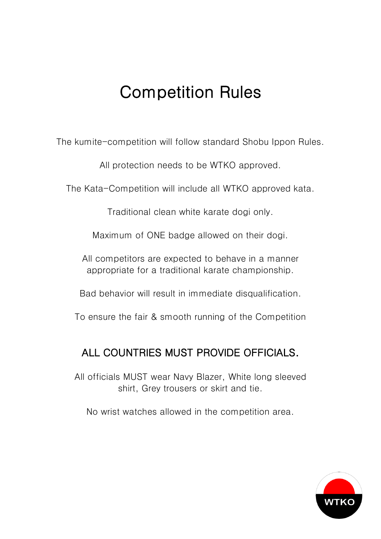## Competition Rules

The kumite-competition will follow standard Shobu Ippon Rules.

All protection needs to be WTKO approved.

The Kata-Competition will include all WTKO approved kata.

Traditional clean white karate dogi only.

Maximum of ONE badge allowed on their dogi.

All competitors are expected to behave in a manner appropriate for a traditional karate championship.

Bad behavior will result in immediate disqualification.

To ensure the fair & smooth running of the Competition

### ALL COUNTRIES MUST PROVIDE OFFICIALS.

All officials MUST wear Navy Blazer, White long sleeved shirt, Grey trousers or skirt and tie.

No wrist watches allowed in the competition area.